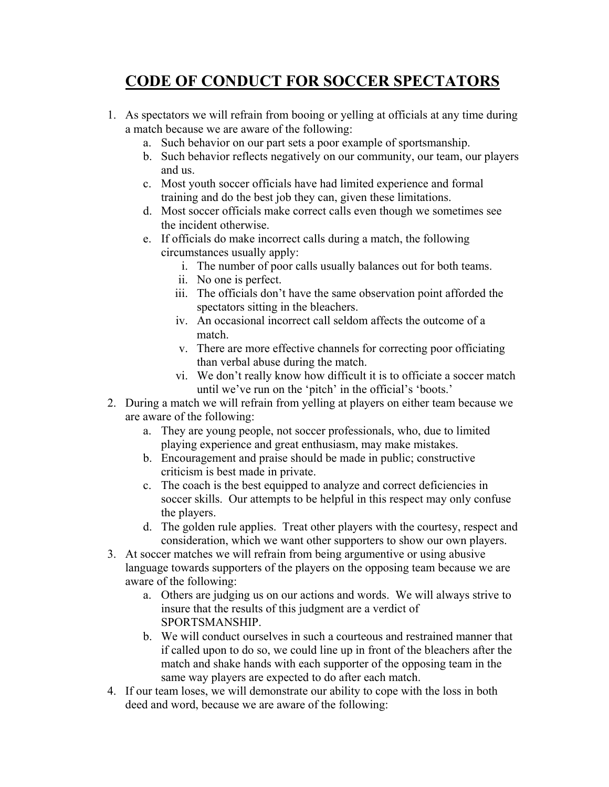## **CODE OF CONDUCT FOR SOCCER SPECTATORS**

- 1. As spectators we will refrain from booing or yelling at officials at any time during a match because we are aware of the following:
	- a. Such behavior on our part sets a poor example of sportsmanship.
	- b. Such behavior reflects negatively on our community, our team, our players and us.
	- c. Most youth soccer officials have had limited experience and formal training and do the best job they can, given these limitations.
	- d. Most soccer officials make correct calls even though we sometimes see the incident otherwise.
	- e. If officials do make incorrect calls during a match, the following circumstances usually apply:
		- i. The number of poor calls usually balances out for both teams.
		- ii. No one is perfect.
		- iii. The officials don't have the same observation point afforded the spectators sitting in the bleachers.
		- iv. An occasional incorrect call seldom affects the outcome of a match.
		- v. There are more effective channels for correcting poor officiating than verbal abuse during the match.
		- vi. We don't really know how difficult it is to officiate a soccer match until we've run on the 'pitch' in the official's 'boots.'
- 2. During a match we will refrain from yelling at players on either team because we are aware of the following:
	- a. They are young people, not soccer professionals, who, due to limited playing experience and great enthusiasm, may make mistakes.
	- b. Encouragement and praise should be made in public; constructive criticism is best made in private.
	- c. The coach is the best equipped to analyze and correct deficiencies in soccer skills. Our attempts to be helpful in this respect may only confuse the players.
	- d. The golden rule applies. Treat other players with the courtesy, respect and consideration, which we want other supporters to show our own players.
- 3. At soccer matches we will refrain from being argumentive or using abusive language towards supporters of the players on the opposing team because we are aware of the following:
	- a. Others are judging us on our actions and words. We will always strive to insure that the results of this judgment are a verdict of SPORTSMANSHIP.
	- b. We will conduct ourselves in such a courteous and restrained manner that if called upon to do so, we could line up in front of the bleachers after the match and shake hands with each supporter of the opposing team in the same way players are expected to do after each match.
- 4. If our team loses, we will demonstrate our ability to cope with the loss in both deed and word, because we are aware of the following: